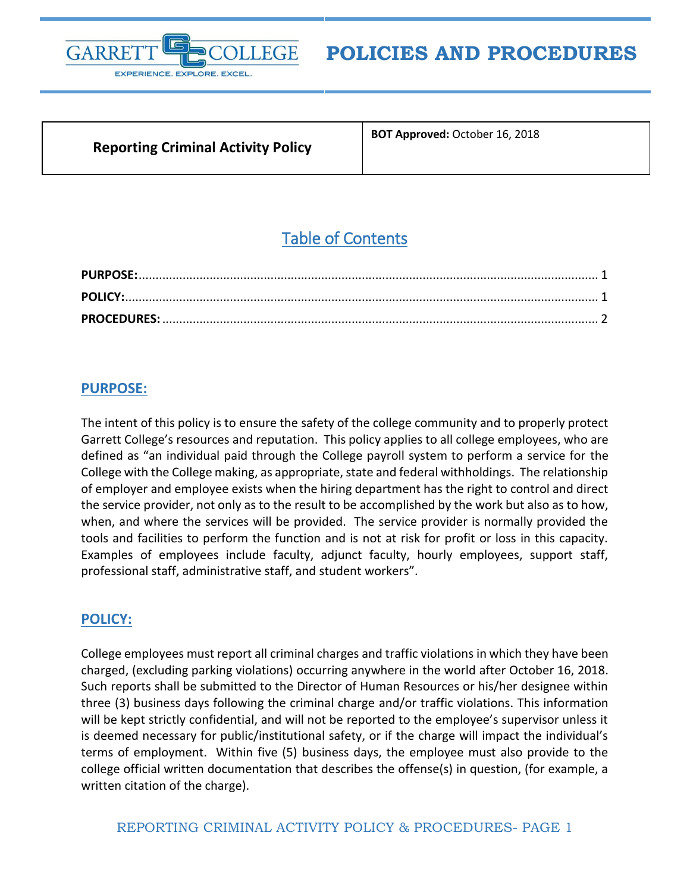

# **POLICIES AND PROCEDURES**

### **Reporting Criminal Activity Policy**

**BOT Approved:** October 16, 2018

# Table of Contents

#### <span id="page-0-0"></span>**PURPOSE:**

The intent of this policy is to ensure the safety of the college community and to properly protect Garrett College's resources and reputation. This policy applies to all college employees, who are defined as "an individual paid through the College payroll system to perform a service for the College with the College making, as appropriate, state and federal withholdings. The relationship of employer and employee exists when the hiring department has the right to control and direct the service provider, not only as to the result to be accomplished by the work but also as to how, when, and where the services will be provided. The service provider is normally provided the tools and facilities to perform the function and is not at risk for profit or loss in this capacity. Examples of employees include faculty, adjunct faculty, hourly employees, support staff, professional staff, administrative staff, and student workers".

#### <span id="page-0-1"></span>**POLICY:**

College employees must report all criminal charges and traffic violations in which they have been charged, (excluding parking violations) occurring anywhere in the world after October 16, 2018. Such reports shall be submitted to the Director of Human Resources or his/her designee within three (3) business days following the criminal charge and/or traffic violations. This information will be kept strictly confidential, and will not be reported to the employee's supervisor unless it is deemed necessary for public/institutional safety, or if the charge will impact the individual's terms of employment. Within five (5) business days, the employee must also provide to the college official written documentation that describes the offense(s) in question, (for example, a written citation of the charge).